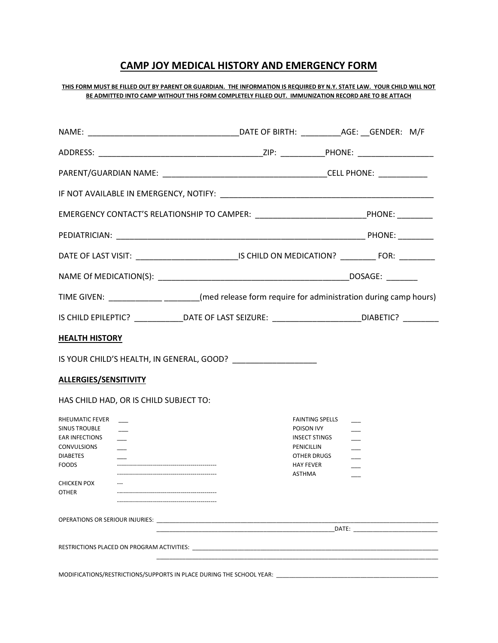# CAMP JOY MEDICAL HISTORY AND EMERGENCY FORM

### THIS FORM MUST BE FILLED OUT BY PARENT OR GUARDIAN. THE INFORMATION IS REQUIRED BY N.Y. STATE LAW. YOUR CHILD WILL NOT BE ADMITTED INTO CAMP WITHOUT THIS FORM COMPLETELY FILLED OUT. IMMUNIZATION RECORD ARE TO BE ATTACH

|                                                                                                                                                       | EMERGENCY CONTACT'S RELATIONSHIP TO CAMPER: _______________________________PHONE: __________                                                                                                                                   |                                                                      |  |  |
|-------------------------------------------------------------------------------------------------------------------------------------------------------|--------------------------------------------------------------------------------------------------------------------------------------------------------------------------------------------------------------------------------|----------------------------------------------------------------------|--|--|
|                                                                                                                                                       |                                                                                                                                                                                                                                |                                                                      |  |  |
|                                                                                                                                                       | DATE OF LAST VISIT: ________________________________IS CHILD ON MEDICATION? ___________ FOR: __________                                                                                                                        |                                                                      |  |  |
|                                                                                                                                                       |                                                                                                                                                                                                                                |                                                                      |  |  |
|                                                                                                                                                       | TIME GIVEN: _____________________(med release form require for administration during camp hours)                                                                                                                               |                                                                      |  |  |
|                                                                                                                                                       | IS CHILD EPILEPTIC? _______________DATE OF LAST SEIZURE: ________________________DIABETIC? _________                                                                                                                           |                                                                      |  |  |
| <b>HEALTH HISTORY</b>                                                                                                                                 |                                                                                                                                                                                                                                |                                                                      |  |  |
|                                                                                                                                                       | IS YOUR CHILD'S HEALTH, IN GENERAL, GOOD?                                                                                                                                                                                      |                                                                      |  |  |
| <b>ALLERGIES/SENSITIVITY</b>                                                                                                                          |                                                                                                                                                                                                                                |                                                                      |  |  |
| HAS CHILD HAD, OR IS CHILD SUBJECT TO:                                                                                                                |                                                                                                                                                                                                                                |                                                                      |  |  |
| RHEUMATIC FEVER<br><b>SINUS TROUBLE</b><br><b>EAR INFECTIONS</b><br>$\overline{\phantom{0}}$<br><b>CONVULSIONS</b><br><b>DIABETES</b><br><b>FOODS</b> | PENICILLIN<br>HAY FEVER<br>ASTHMA                                                                                                                                                                                              | <b>FAINTING SPELLS</b><br>POISON IVY<br>INSECT STINGS<br>OTHER DRUGS |  |  |
| <b>CHICKEN POX</b><br>$---$<br><b>OTHER</b>                                                                                                           |                                                                                                                                                                                                                                |                                                                      |  |  |
|                                                                                                                                                       | OPERATIONS OR SERIOUR INJURIES: Network and the contract of the contract of the contract of the contract of the contract of the contract of the contract of the contract of the contract of the contract of the contract of th |                                                                      |  |  |
|                                                                                                                                                       | RESTRICTIONS PLACED ON PROGRAM ACTIVITIES: NAMEL AND THE STATE OF STATE OF STATE OF STATE OF STATE OF STATE OF                                                                                                                 |                                                                      |  |  |
|                                                                                                                                                       | MODIFICATIONS/RESTRICTIONS/SUPPORTS IN PLACE DURING THE SCHOOL YEAR: ___________                                                                                                                                               |                                                                      |  |  |